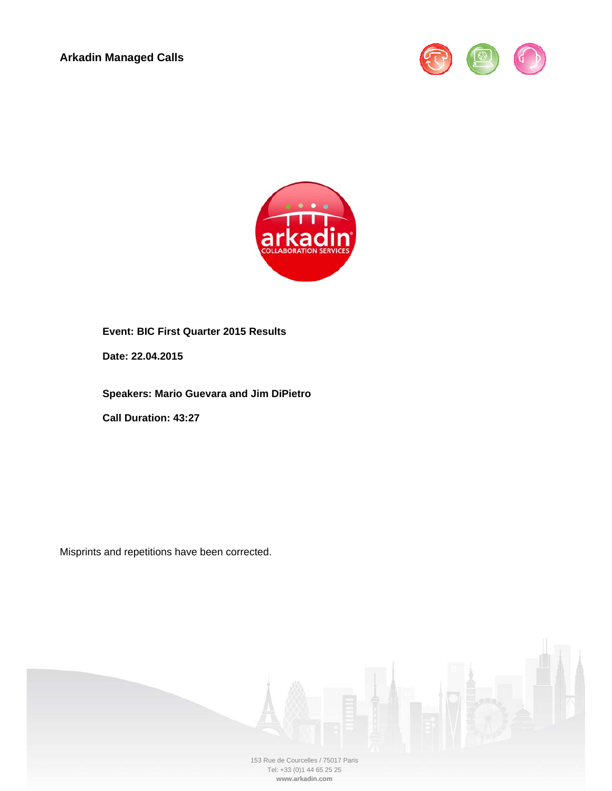



**Event: BIC First Quarter 2015 Results** 

**Date: 22.04.2015** 

**Speakers: Mario Guevara and Jim DiPietro** 

**Call Duration: 43:27** 

Misprints and repetitions have been corrected.

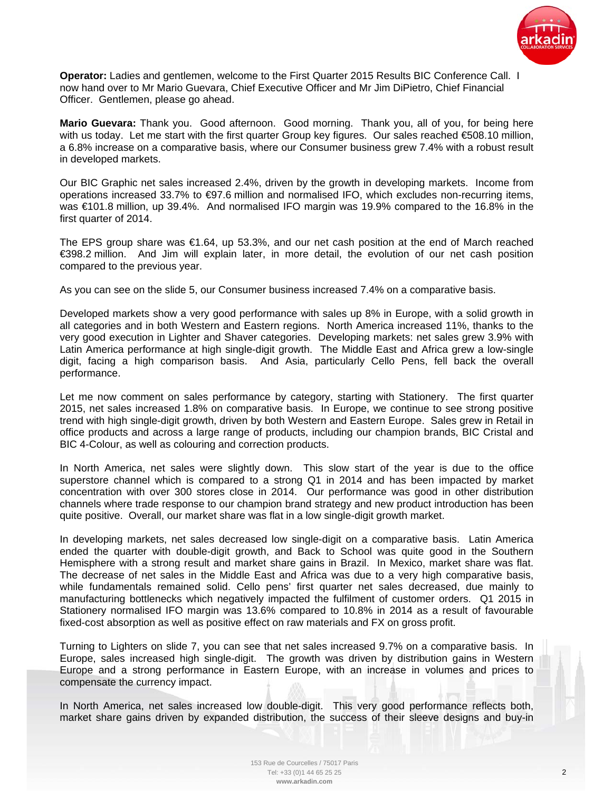

**Operator:** Ladies and gentlemen, welcome to the First Quarter 2015 Results BIC Conference Call. I now hand over to Mr Mario Guevara, Chief Executive Officer and Mr Jim DiPietro, Chief Financial Officer. Gentlemen, please go ahead.

**Mario Guevara:** Thank you. Good afternoon. Good morning. Thank you, all of you, for being here with us today. Let me start with the first quarter Group key figures. Our sales reached €508.10 million, a 6.8% increase on a comparative basis, where our Consumer business grew 7.4% with a robust result in developed markets.

Our BIC Graphic net sales increased 2.4%, driven by the growth in developing markets. Income from operations increased 33.7% to €97.6 million and normalised IFO, which excludes non-recurring items, was €101.8 million, up 39.4%. And normalised IFO margin was 19.9% compared to the 16.8% in the first quarter of 2014.

The EPS group share was €1.64, up 53.3%, and our net cash position at the end of March reached €398.2 million. And Jim will explain later, in more detail, the evolution of our net cash position compared to the previous year.

As you can see on the slide 5, our Consumer business increased 7.4% on a comparative basis.

Developed markets show a very good performance with sales up 8% in Europe, with a solid growth in all categories and in both Western and Eastern regions. North America increased 11%, thanks to the very good execution in Lighter and Shaver categories. Developing markets: net sales grew 3.9% with Latin America performance at high single-digit growth. The Middle East and Africa grew a low-single digit, facing a high comparison basis. And Asia, particularly Cello Pens, fell back the overall performance.

Let me now comment on sales performance by category, starting with Stationery. The first quarter 2015, net sales increased 1.8% on comparative basis. In Europe, we continue to see strong positive trend with high single-digit growth, driven by both Western and Eastern Europe. Sales grew in Retail in office products and across a large range of products, including our champion brands, BIC Cristal and BIC 4-Colour, as well as colouring and correction products.

In North America, net sales were slightly down. This slow start of the year is due to the office superstore channel which is compared to a strong Q1 in 2014 and has been impacted by market concentration with over 300 stores close in 2014. Our performance was good in other distribution channels where trade response to our champion brand strategy and new product introduction has been quite positive. Overall, our market share was flat in a low single-digit growth market.

In developing markets, net sales decreased low single-digit on a comparative basis. Latin America ended the quarter with double-digit growth, and Back to School was quite good in the Southern Hemisphere with a strong result and market share gains in Brazil. In Mexico, market share was flat. The decrease of net sales in the Middle East and Africa was due to a very high comparative basis, while fundamentals remained solid. Cello pens' first quarter net sales decreased, due mainly to manufacturing bottlenecks which negatively impacted the fulfilment of customer orders. Q1 2015 in Stationery normalised IFO margin was 13.6% compared to 10.8% in 2014 as a result of favourable fixed-cost absorption as well as positive effect on raw materials and FX on gross profit.

Turning to Lighters on slide 7, you can see that net sales increased 9.7% on a comparative basis. In Europe, sales increased high single-digit. The growth was driven by distribution gains in Western Europe and a strong performance in Eastern Europe, with an increase in volumes and prices to compensate the currency impact.

In North America, net sales increased low double-digit. This very good performance reflects both, market share gains driven by expanded distribution, the success of their sleeve designs and buy-in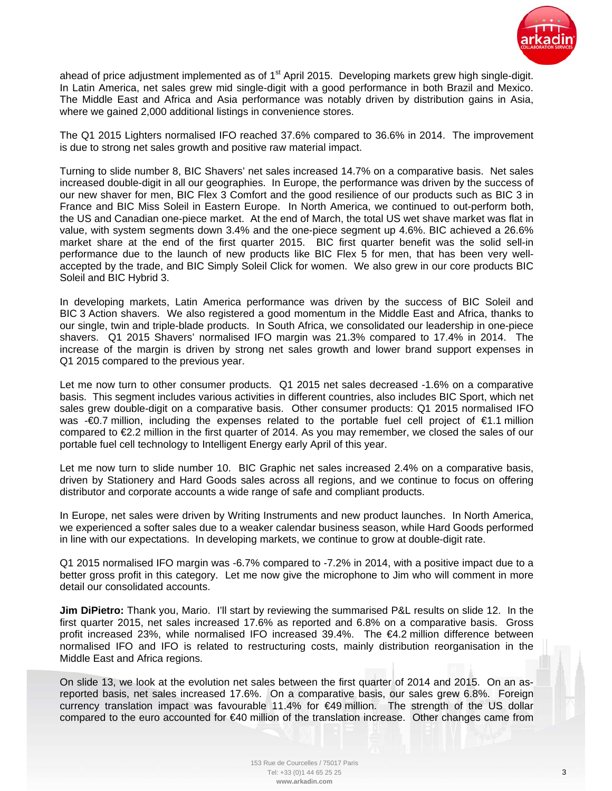

ahead of price adjustment implemented as of  $1<sup>st</sup>$  April 2015. Developing markets grew high single-digit. In Latin America, net sales grew mid single-digit with a good performance in both Brazil and Mexico. The Middle East and Africa and Asia performance was notably driven by distribution gains in Asia, where we gained 2,000 additional listings in convenience stores.

The Q1 2015 Lighters normalised IFO reached 37.6% compared to 36.6% in 2014. The improvement is due to strong net sales growth and positive raw material impact.

Turning to slide number 8, BIC Shavers' net sales increased 14.7% on a comparative basis. Net sales increased double-digit in all our geographies. In Europe, the performance was driven by the success of our new shaver for men, BIC Flex 3 Comfort and the good resilience of our products such as BIC 3 in France and BIC Miss Soleil in Eastern Europe. In North America, we continued to out-perform both, the US and Canadian one-piece market. At the end of March, the total US wet shave market was flat in value, with system segments down 3.4% and the one-piece segment up 4.6%. BIC achieved a 26.6% market share at the end of the first quarter 2015. BIC first quarter benefit was the solid sell-in performance due to the launch of new products like BIC Flex 5 for men, that has been very wellaccepted by the trade, and BIC Simply Soleil Click for women. We also grew in our core products BIC Soleil and BIC Hybrid 3.

In developing markets, Latin America performance was driven by the success of BIC Soleil and BIC 3 Action shavers. We also registered a good momentum in the Middle East and Africa, thanks to our single, twin and triple-blade products. In South Africa, we consolidated our leadership in one-piece shavers. Q1 2015 Shavers' normalised IFO margin was 21.3% compared to 17.4% in 2014. The increase of the margin is driven by strong net sales growth and lower brand support expenses in Q1 2015 compared to the previous year.

Let me now turn to other consumer products. Q1 2015 net sales decreased -1.6% on a comparative basis. This segment includes various activities in different countries, also includes BIC Sport, which net sales grew double-digit on a comparative basis. Other consumer products: Q1 2015 normalised IFO was - €0.7 million, including the expenses related to the portable fuel cell project of €1.1 million compared to €2.2 million in the first quarter of 2014. As you may remember, we closed the sales of our portable fuel cell technology to Intelligent Energy early April of this year.

Let me now turn to slide number 10. BIC Graphic net sales increased 2.4% on a comparative basis, driven by Stationery and Hard Goods sales across all regions, and we continue to focus on offering distributor and corporate accounts a wide range of safe and compliant products.

In Europe, net sales were driven by Writing Instruments and new product launches. In North America, we experienced a softer sales due to a weaker calendar business season, while Hard Goods performed in line with our expectations. In developing markets, we continue to grow at double-digit rate.

Q1 2015 normalised IFO margin was -6.7% compared to -7.2% in 2014, with a positive impact due to a better gross profit in this category. Let me now give the microphone to Jim who will comment in more detail our consolidated accounts.

**Jim DiPietro:** Thank you, Mario. I'll start by reviewing the summarised P&L results on slide 12. In the first quarter 2015, net sales increased 17.6% as reported and 6.8% on a comparative basis. Gross profit increased 23%, while normalised IFO increased 39.4%. The €4.2 million difference between normalised IFO and IFO is related to restructuring costs, mainly distribution reorganisation in the Middle East and Africa regions.

On slide 13, we look at the evolution net sales between the first quarter of 2014 and 2015. On an asreported basis, net sales increased 17.6%. On a comparative basis, our sales grew 6.8%. Foreign currency translation impact was favourable 11.4% for €49 million. The strength of the US dollar compared to the euro accounted for €40 million of the translation increase. Other changes came from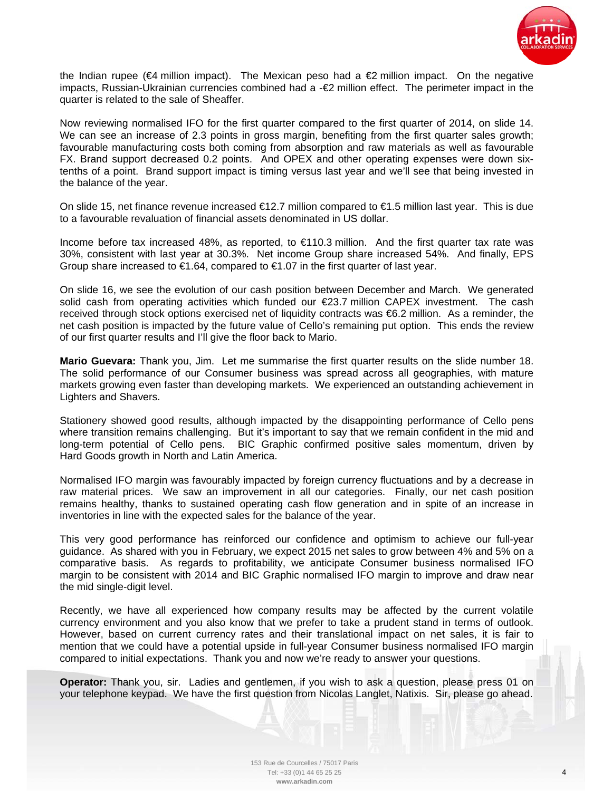

the Indian rupee ( $\epsilon$ 4 million impact). The Mexican peso had a  $\epsilon$ 2 million impact. On the negative impacts, Russian-Ukrainian currencies combined had a -€2 million effect. The perimeter impact in the quarter is related to the sale of Sheaffer.

Now reviewing normalised IFO for the first quarter compared to the first quarter of 2014, on slide 14. We can see an increase of 2.3 points in gross margin, benefiting from the first quarter sales growth; favourable manufacturing costs both coming from absorption and raw materials as well as favourable FX. Brand support decreased 0.2 points. And OPEX and other operating expenses were down sixtenths of a point. Brand support impact is timing versus last year and we'll see that being invested in the balance of the year.

On slide 15, net finance revenue increased €12.7 million compared to €1.5 million last year. This is due to a favourable revaluation of financial assets denominated in US dollar.

Income before tax increased 48%, as reported, to €110.3 million. And the first quarter tax rate was 30%, consistent with last year at 30.3%. Net income Group share increased 54%. And finally, EPS Group share increased to  $\epsilon$ 1.64, compared to  $\epsilon$ 1.07 in the first quarter of last year.

On slide 16, we see the evolution of our cash position between December and March. We generated solid cash from operating activities which funded our €23.7 million CAPEX investment. The cash received through stock options exercised net of liquidity contracts was €6.2 million. As a reminder, the net cash position is impacted by the future value of Cello's remaining put option. This ends the review of our first quarter results and I'll give the floor back to Mario.

**Mario Guevara:** Thank you, Jim. Let me summarise the first quarter results on the slide number 18. The solid performance of our Consumer business was spread across all geographies, with mature markets growing even faster than developing markets. We experienced an outstanding achievement in Lighters and Shavers.

Stationery showed good results, although impacted by the disappointing performance of Cello pens where transition remains challenging. But it's important to say that we remain confident in the mid and long-term potential of Cello pens. BIC Graphic confirmed positive sales momentum, driven by Hard Goods growth in North and Latin America.

Normalised IFO margin was favourably impacted by foreign currency fluctuations and by a decrease in raw material prices. We saw an improvement in all our categories. Finally, our net cash position remains healthy, thanks to sustained operating cash flow generation and in spite of an increase in inventories in line with the expected sales for the balance of the year.

This very good performance has reinforced our confidence and optimism to achieve our full-year guidance. As shared with you in February, we expect 2015 net sales to grow between 4% and 5% on a comparative basis. As regards to profitability, we anticipate Consumer business normalised IFO margin to be consistent with 2014 and BIC Graphic normalised IFO margin to improve and draw near the mid single-digit level.

Recently, we have all experienced how company results may be affected by the current volatile currency environment and you also know that we prefer to take a prudent stand in terms of outlook. However, based on current currency rates and their translational impact on net sales, it is fair to mention that we could have a potential upside in full-year Consumer business normalised IFO margin compared to initial expectations. Thank you and now we're ready to answer your questions.

**Operator:** Thank you, sir. Ladies and gentlemen, if you wish to ask a question, please press 01 on your telephone keypad. We have the first question from Nicolas Langlet, Natixis. Sir, please go ahead.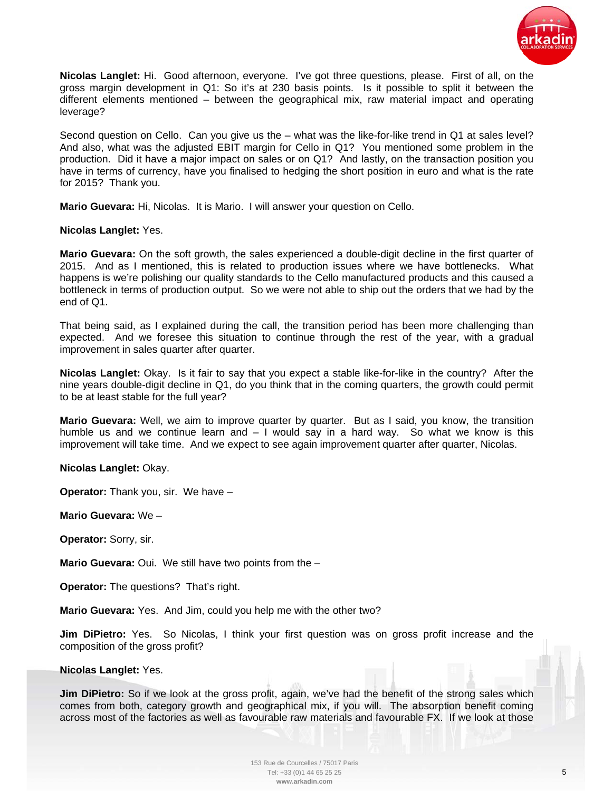

**Nicolas Langlet:** Hi. Good afternoon, everyone. I've got three questions, please. First of all, on the gross margin development in Q1: So it's at 230 basis points. Is it possible to split it between the different elements mentioned – between the geographical mix, raw material impact and operating leverage?

Second question on Cello. Can you give us the – what was the like-for-like trend in Q1 at sales level? And also, what was the adjusted EBIT margin for Cello in Q1? You mentioned some problem in the production. Did it have a major impact on sales or on Q1? And lastly, on the transaction position you have in terms of currency, have you finalised to hedging the short position in euro and what is the rate for 2015? Thank you.

**Mario Guevara:** Hi, Nicolas. It is Mario. I will answer your question on Cello.

# **Nicolas Langlet:** Yes.

**Mario Guevara:** On the soft growth, the sales experienced a double-digit decline in the first quarter of 2015. And as I mentioned, this is related to production issues where we have bottlenecks. What happens is we're polishing our quality standards to the Cello manufactured products and this caused a bottleneck in terms of production output. So we were not able to ship out the orders that we had by the end of Q1.

That being said, as I explained during the call, the transition period has been more challenging than expected. And we foresee this situation to continue through the rest of the year, with a gradual improvement in sales quarter after quarter.

**Nicolas Langlet:** Okay. Is it fair to say that you expect a stable like-for-like in the country? After the nine years double-digit decline in Q1, do you think that in the coming quarters, the growth could permit to be at least stable for the full year?

**Mario Guevara:** Well, we aim to improve quarter by quarter. But as I said, you know, the transition humble us and we continue learn and  $-1$  would say in a hard way. So what we know is this improvement will take time. And we expect to see again improvement quarter after quarter, Nicolas.

**Nicolas Langlet:** Okay.

**Operator:** Thank you, sir. We have –

**Mario Guevara:** We –

**Operator:** Sorry, sir.

**Mario Guevara:** Oui. We still have two points from the –

**Operator:** The questions? That's right.

**Mario Guevara:** Yes. And Jim, could you help me with the other two?

**Jim DiPietro:** Yes. So Nicolas, I think your first question was on gross profit increase and the composition of the gross profit?

# **Nicolas Langlet:** Yes.

**Jim DiPietro:** So if we look at the gross profit, again, we've had the benefit of the strong sales which comes from both, category growth and geographical mix, if you will. The absorption benefit coming across most of the factories as well as favourable raw materials and favourable FX. If we look at those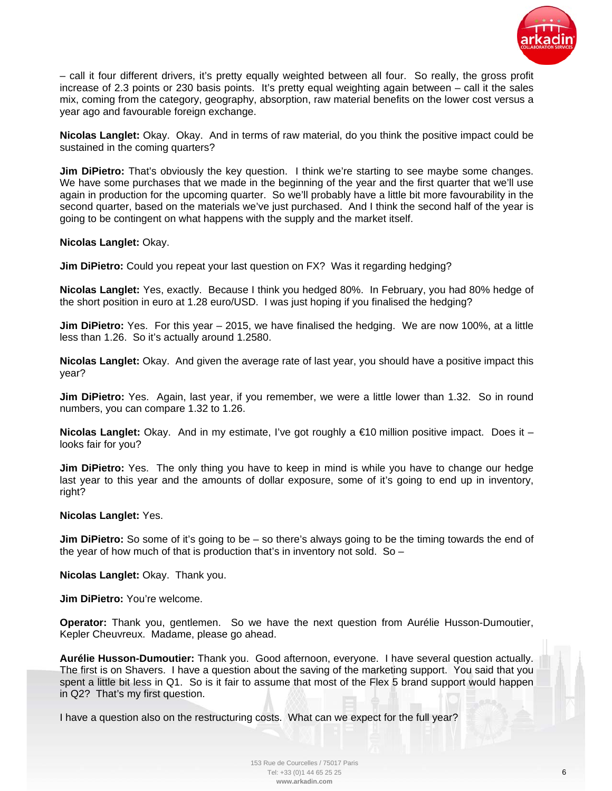

– call it four different drivers, it's pretty equally weighted between all four. So really, the gross profit increase of 2.3 points or 230 basis points. It's pretty equal weighting again between – call it the sales mix, coming from the category, geography, absorption, raw material benefits on the lower cost versus a year ago and favourable foreign exchange.

**Nicolas Langlet:** Okay. Okay. And in terms of raw material, do you think the positive impact could be sustained in the coming quarters?

**Jim DiPietro:** That's obviously the key question. I think we're starting to see maybe some changes. We have some purchases that we made in the beginning of the year and the first quarter that we'll use again in production for the upcoming quarter. So we'll probably have a little bit more favourability in the second quarter, based on the materials we've just purchased. And I think the second half of the year is going to be contingent on what happens with the supply and the market itself.

**Nicolas Langlet:** Okay.

**Jim DiPietro:** Could you repeat your last question on FX? Was it regarding hedging?

**Nicolas Langlet:** Yes, exactly. Because I think you hedged 80%. In February, you had 80% hedge of the short position in euro at 1.28 euro/USD. I was just hoping if you finalised the hedging?

**Jim DiPietro:** Yes. For this year – 2015, we have finalised the hedging. We are now 100%, at a little less than 1.26. So it's actually around 1.2580.

**Nicolas Langlet:** Okay. And given the average rate of last year, you should have a positive impact this year?

**Jim DiPietro:** Yes. Again, last year, if you remember, we were a little lower than 1.32. So in round numbers, you can compare 1.32 to 1.26.

**Nicolas Langlet:** Okay. And in my estimate, I've got roughly a €10 million positive impact. Does it – looks fair for you?

**Jim DiPietro:** Yes. The only thing you have to keep in mind is while you have to change our hedge last year to this year and the amounts of dollar exposure, some of it's going to end up in inventory, right?

#### **Nicolas Langlet:** Yes.

**Jim DiPietro:** So some of it's going to be – so there's always going to be the timing towards the end of the year of how much of that is production that's in inventory not sold. So  $-$ 

**Nicolas Langlet:** Okay. Thank you.

**Jim DiPietro:** You're welcome.

**Operator:** Thank you, gentlemen. So we have the next question from Aurélie Husson-Dumoutier, Kepler Cheuvreux. Madame, please go ahead.

**Aurélie Husson-Dumoutier:** Thank you. Good afternoon, everyone. I have several question actually. The first is on Shavers. I have a question about the saving of the marketing support. You said that you spent a little bit less in Q1. So is it fair to assume that most of the Flex 5 brand support would happen in Q2? That's my first question.

I have a question also on the restructuring costs. What can we expect for the full year?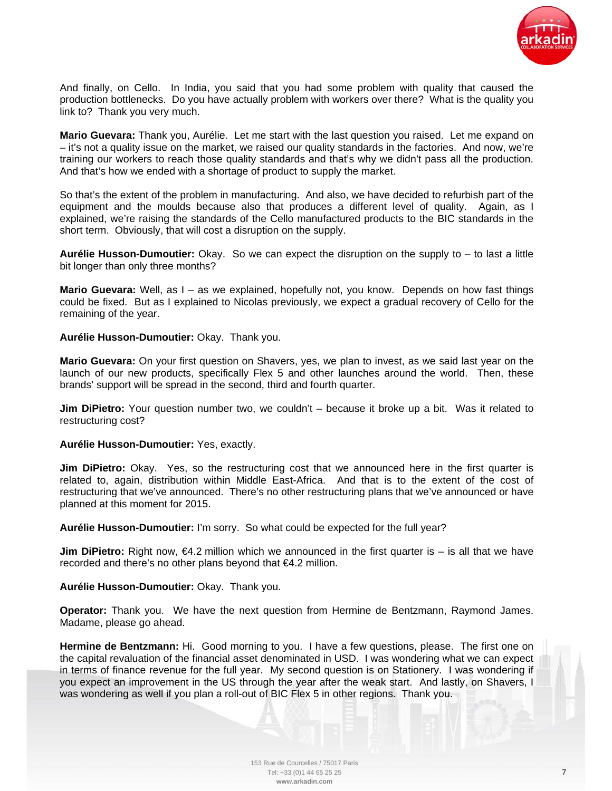

And finally, on Cello. In India, you said that you had some problem with quality that caused the production bottlenecks. Do you have actually problem with workers over there? What is the quality you link to? Thank you very much.

**Mario Guevara:** Thank you, Aurélie. Let me start with the last question you raised. Let me expand on – it's not a quality issue on the market, we raised our quality standards in the factories. And now, we're training our workers to reach those quality standards and that's why we didn't pass all the production. And that's how we ended with a shortage of product to supply the market.

So that's the extent of the problem in manufacturing. And also, we have decided to refurbish part of the equipment and the moulds because also that produces a different level of quality. Again, as I explained, we're raising the standards of the Cello manufactured products to the BIC standards in the short term. Obviously, that will cost a disruption on the supply.

**Aurélie Husson-Dumoutier:** Okay. So we can expect the disruption on the supply to – to last a little bit longer than only three months?

**Mario Guevara:** Well, as I – as we explained, hopefully not, you know. Depends on how fast things could be fixed. But as I explained to Nicolas previously, we expect a gradual recovery of Cello for the remaining of the year.

## **Aurélie Husson-Dumoutier:** Okay. Thank you.

**Mario Guevara:** On your first question on Shavers, yes, we plan to invest, as we said last year on the launch of our new products, specifically Flex 5 and other launches around the world. Then, these brands' support will be spread in the second, third and fourth quarter.

**Jim DiPietro:** Your question number two, we couldn't – because it broke up a bit. Was it related to restructuring cost?

#### **Aurélie Husson-Dumoutier:** Yes, exactly.

**Jim DiPietro:** Okay. Yes, so the restructuring cost that we announced here in the first quarter is related to, again, distribution within Middle East-Africa. And that is to the extent of the cost of restructuring that we've announced. There's no other restructuring plans that we've announced or have planned at this moment for 2015.

**Aurélie Husson-Dumoutier:** I'm sorry. So what could be expected for the full year?

**Jim DiPietro:** Right now, €4.2 million which we announced in the first quarter is – is all that we have recorded and there's no other plans beyond that €4.2 million.

# **Aurélie Husson-Dumoutier:** Okay. Thank you.

**Operator:** Thank you. We have the next question from Hermine de Bentzmann, Raymond James. Madame, please go ahead.

**Hermine de Bentzmann:** Hi. Good morning to you. I have a few questions, please. The first one on the capital revaluation of the financial asset denominated in USD. I was wondering what we can expect in terms of finance revenue for the full year. My second question is on Stationery. I was wondering if you expect an improvement in the US through the year after the weak start. And lastly, on Shavers, I was wondering as well if you plan a roll-out of BIC Flex 5 in other regions. Thank you.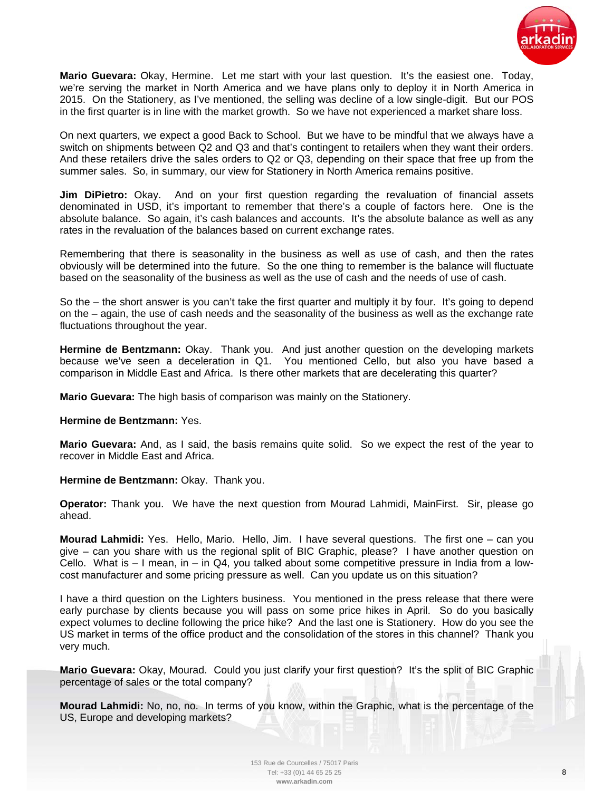

**Mario Guevara:** Okay, Hermine. Let me start with your last question. It's the easiest one. Today, we're serving the market in North America and we have plans only to deploy it in North America in 2015. On the Stationery, as I've mentioned, the selling was decline of a low single-digit. But our POS in the first quarter is in line with the market growth. So we have not experienced a market share loss.

On next quarters, we expect a good Back to School. But we have to be mindful that we always have a switch on shipments between Q2 and Q3 and that's contingent to retailers when they want their orders. And these retailers drive the sales orders to Q2 or Q3, depending on their space that free up from the summer sales. So, in summary, our view for Stationery in North America remains positive.

**Jim DiPietro:** Okay. And on your first question regarding the revaluation of financial assets denominated in USD, it's important to remember that there's a couple of factors here. One is the absolute balance. So again, it's cash balances and accounts. It's the absolute balance as well as any rates in the revaluation of the balances based on current exchange rates.

Remembering that there is seasonality in the business as well as use of cash, and then the rates obviously will be determined into the future. So the one thing to remember is the balance will fluctuate based on the seasonality of the business as well as the use of cash and the needs of use of cash.

So the – the short answer is you can't take the first quarter and multiply it by four. It's going to depend on the – again, the use of cash needs and the seasonality of the business as well as the exchange rate fluctuations throughout the year.

**Hermine de Bentzmann:** Okay. Thank you. And just another question on the developing markets because we've seen a deceleration in Q1. You mentioned Cello, but also you have based a comparison in Middle East and Africa. Is there other markets that are decelerating this quarter?

**Mario Guevara:** The high basis of comparison was mainly on the Stationery.

#### **Hermine de Bentzmann:** Yes.

**Mario Guevara:** And, as I said, the basis remains quite solid. So we expect the rest of the year to recover in Middle East and Africa.

**Hermine de Bentzmann:** Okay. Thank you.

**Operator:** Thank you. We have the next question from Mourad Lahmidi, MainFirst. Sir, please go ahead.

**Mourad Lahmidi:** Yes. Hello, Mario. Hello, Jim. I have several questions. The first one – can you give – can you share with us the regional split of BIC Graphic, please? I have another question on Cello. What is – I mean, in – in Q4, you talked about some competitive pressure in India from a lowcost manufacturer and some pricing pressure as well. Can you update us on this situation?

I have a third question on the Lighters business. You mentioned in the press release that there were early purchase by clients because you will pass on some price hikes in April. So do you basically expect volumes to decline following the price hike? And the last one is Stationery. How do you see the US market in terms of the office product and the consolidation of the stores in this channel? Thank you very much.

**Mario Guevara:** Okay, Mourad. Could you just clarify your first question? It's the split of BIC Graphic percentage of sales or the total company?

**Mourad Lahmidi:** No, no, no. In terms of you know, within the Graphic, what is the percentage of the US, Europe and developing markets?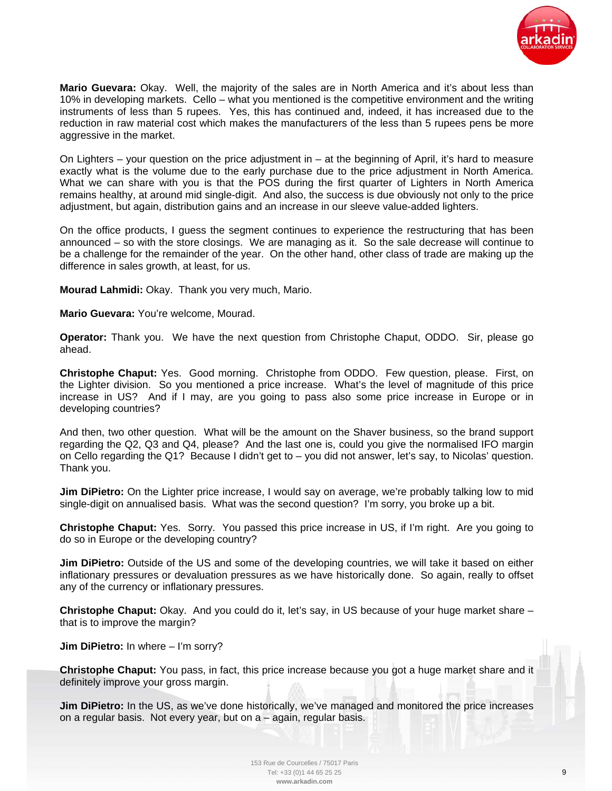

**Mario Guevara:** Okay. Well, the majority of the sales are in North America and it's about less than 10% in developing markets. Cello – what you mentioned is the competitive environment and the writing instruments of less than 5 rupees. Yes, this has continued and, indeed, it has increased due to the reduction in raw material cost which makes the manufacturers of the less than 5 rupees pens be more aggressive in the market.

On Lighters – your question on the price adjustment in – at the beginning of April, it's hard to measure exactly what is the volume due to the early purchase due to the price adjustment in North America. What we can share with you is that the POS during the first quarter of Lighters in North America remains healthy, at around mid single-digit. And also, the success is due obviously not only to the price adjustment, but again, distribution gains and an increase in our sleeve value-added lighters.

On the office products, I guess the segment continues to experience the restructuring that has been announced – so with the store closings. We are managing as it. So the sale decrease will continue to be a challenge for the remainder of the year. On the other hand, other class of trade are making up the difference in sales growth, at least, for us.

**Mourad Lahmidi:** Okay. Thank you very much, Mario.

**Mario Guevara:** You're welcome, Mourad.

**Operator:** Thank you. We have the next question from Christophe Chaput, ODDO. Sir, please go ahead.

**Christophe Chaput:** Yes. Good morning. Christophe from ODDO. Few question, please. First, on the Lighter division. So you mentioned a price increase. What's the level of magnitude of this price increase in US? And if I may, are you going to pass also some price increase in Europe or in developing countries?

And then, two other question. What will be the amount on the Shaver business, so the brand support regarding the Q2, Q3 and Q4, please? And the last one is, could you give the normalised IFO margin on Cello regarding the Q1? Because I didn't get to – you did not answer, let's say, to Nicolas' question. Thank you.

**Jim DiPietro:** On the Lighter price increase, I would say on average, we're probably talking low to mid single-digit on annualised basis. What was the second question? I'm sorry, you broke up a bit.

**Christophe Chaput:** Yes. Sorry. You passed this price increase in US, if I'm right. Are you going to do so in Europe or the developing country?

**Jim DiPietro:** Outside of the US and some of the developing countries, we will take it based on either inflationary pressures or devaluation pressures as we have historically done. So again, really to offset any of the currency or inflationary pressures.

**Christophe Chaput:** Okay. And you could do it, let's say, in US because of your huge market share – that is to improve the margin?

**Jim DiPietro:** In where – I'm sorry?

**Christophe Chaput:** You pass, in fact, this price increase because you got a huge market share and it definitely improve your gross margin.

**Jim DiPietro:** In the US, as we've done historically, we've managed and monitored the price increases on a regular basis. Not every year, but on a – again, regular basis.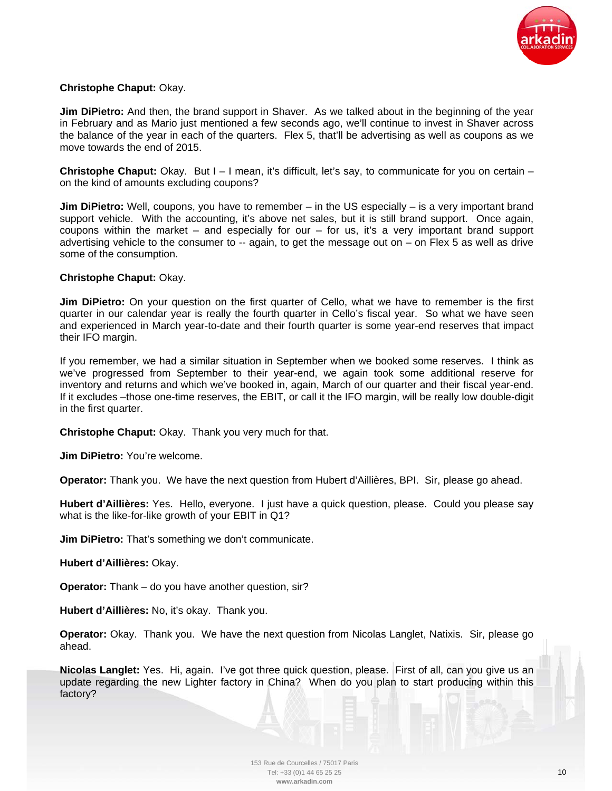

# **Christophe Chaput:** Okay.

**Jim DiPietro:** And then, the brand support in Shaver. As we talked about in the beginning of the year in February and as Mario just mentioned a few seconds ago, we'll continue to invest in Shaver across the balance of the year in each of the quarters. Flex 5, that'll be advertising as well as coupons as we move towards the end of 2015.

**Christophe Chaput:** Okay. But I – I mean, it's difficult, let's say, to communicate for you on certain – on the kind of amounts excluding coupons?

**Jim DiPietro:** Well, coupons, you have to remember – in the US especially – is a very important brand support vehicle. With the accounting, it's above net sales, but it is still brand support. Once again, coupons within the market – and especially for our – for us, it's a very important brand support advertising vehicle to the consumer to  $-$  again, to get the message out on  $-$  on Flex 5 as well as drive some of the consumption.

# **Christophe Chaput:** Okay.

**Jim DiPietro:** On your question on the first quarter of Cello, what we have to remember is the first quarter in our calendar year is really the fourth quarter in Cello's fiscal year. So what we have seen and experienced in March year-to-date and their fourth quarter is some year-end reserves that impact their IFO margin.

If you remember, we had a similar situation in September when we booked some reserves. I think as we've progressed from September to their year-end, we again took some additional reserve for inventory and returns and which we've booked in, again, March of our quarter and their fiscal year-end. If it excludes –those one-time reserves, the EBIT, or call it the IFO margin, will be really low double-digit in the first quarter.

**Christophe Chaput:** Okay. Thank you very much for that.

**Jim DiPietro:** You're welcome.

**Operator:** Thank you. We have the next question from Hubert d'Aillières, BPI. Sir, please go ahead.

**Hubert d'Aillières:** Yes. Hello, everyone. I just have a quick question, please. Could you please say what is the like-for-like growth of your EBIT in Q1?

**Jim DiPietro:** That's something we don't communicate.

**Hubert d'Aillières:** Okay.

**Operator:** Thank – do you have another question, sir?

**Hubert d'Aillières:** No, it's okay. Thank you.

**Operator:** Okay. Thank you. We have the next question from Nicolas Langlet, Natixis. Sir, please go ahead.

**Nicolas Langlet:** Yes. Hi, again. I've got three quick question, please. First of all, can you give us an update regarding the new Lighter factory in China? When do you plan to start producing within this factory?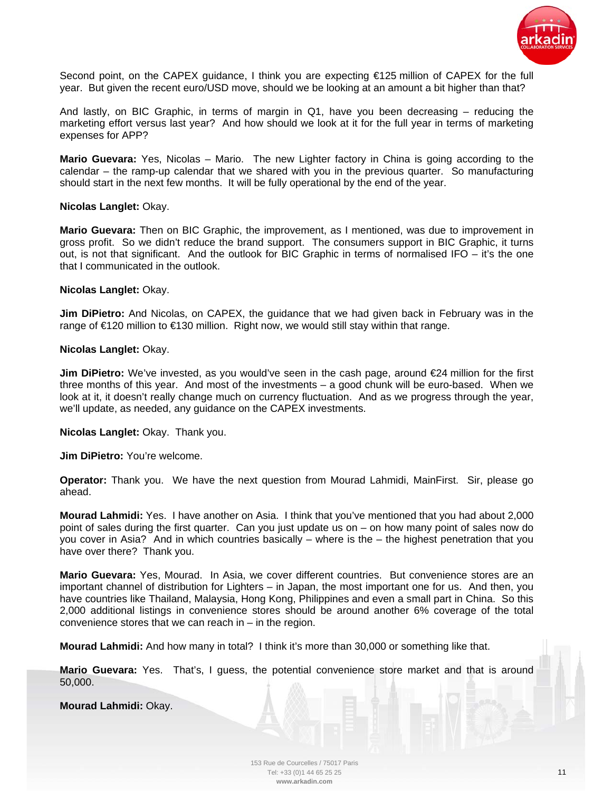

Second point, on the CAPEX guidance, I think you are expecting €125 million of CAPEX for the full year. But given the recent euro/USD move, should we be looking at an amount a bit higher than that?

And lastly, on BIC Graphic, in terms of margin in Q1, have you been decreasing – reducing the marketing effort versus last year? And how should we look at it for the full year in terms of marketing expenses for APP?

**Mario Guevara:** Yes, Nicolas – Mario. The new Lighter factory in China is going according to the calendar – the ramp-up calendar that we shared with you in the previous quarter. So manufacturing should start in the next few months. It will be fully operational by the end of the year.

## **Nicolas Langlet:** Okay.

**Mario Guevara:** Then on BIC Graphic, the improvement, as I mentioned, was due to improvement in gross profit. So we didn't reduce the brand support. The consumers support in BIC Graphic, it turns out, is not that significant. And the outlook for BIC Graphic in terms of normalised IFO – it's the one that I communicated in the outlook.

## **Nicolas Langlet:** Okay.

**Jim DiPietro:** And Nicolas, on CAPEX, the guidance that we had given back in February was in the range of €120 million to €130 million. Right now, we would still stay within that range.

## **Nicolas Langlet:** Okay.

**Jim DiPietro:** We've invested, as you would've seen in the cash page, around €24 million for the first three months of this year. And most of the investments – a good chunk will be euro-based. When we look at it, it doesn't really change much on currency fluctuation. And as we progress through the year, we'll update, as needed, any guidance on the CAPEX investments.

**Nicolas Langlet:** Okay. Thank you.

**Jim DiPietro:** You're welcome.

**Operator:** Thank you. We have the next question from Mourad Lahmidi, MainFirst. Sir, please go ahead.

**Mourad Lahmidi:** Yes. I have another on Asia. I think that you've mentioned that you had about 2,000 point of sales during the first quarter. Can you just update us on – on how many point of sales now do you cover in Asia? And in which countries basically – where is the – the highest penetration that you have over there? Thank you.

**Mario Guevara:** Yes, Mourad. In Asia, we cover different countries. But convenience stores are an important channel of distribution for Lighters – in Japan, the most important one for us. And then, you have countries like Thailand, Malaysia, Hong Kong, Philippines and even a small part in China. So this 2,000 additional listings in convenience stores should be around another 6% coverage of the total convenience stores that we can reach in – in the region.

**Mourad Lahmidi:** And how many in total? I think it's more than 30,000 or something like that.

**Mario Guevara:** Yes. That's, I guess, the potential convenience store market and that is around 50,000.

**Mourad Lahmidi:** Okay.